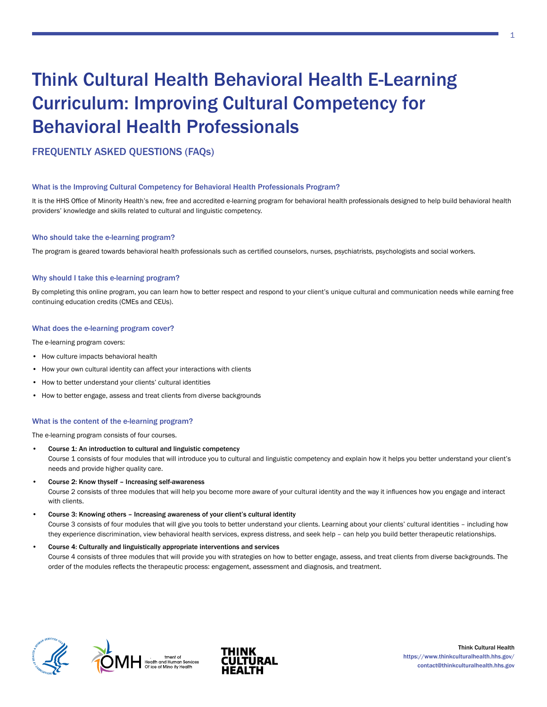# Think Cultural Health Behavioral Health E-Learning Curriculum: Improving Cultural Competency for Behavioral Health Professionals

FREQUENTLY ASKED QUESTIONS (FAQs)

## What is the Improving Cultural Competency for Behavioral Health Professionals Program?

It is the HHS Office of Minority Health's new, free and accredited e-learning program for behavioral health professionals designed to help build behavioral health providers' knowledge and skills related to cultural and linguistic competency.

## Who should take the e-learning program?

The program is geared towards behavioral health professionals such as certified counselors, nurses, psychiatrists, psychologists and social workers.

### Why should I take this e-learning program?

By completing this online program, you can learn how to better respect and respond to your client's unique cultural and communication needs while earning free continuing education credits (CMEs and CEUs).

## What does the e-learning program cover?

The e-learning program covers:

- How culture impacts behavioral health
- How your own cultural identity can affect your interactions with clients
- How to better understand your clients' cultural identities
- How to better engage, assess and treat clients from diverse backgrounds

## What is the content of the e-learning program?

The e-learning program consists of four courses.

- Course 1: An introduction to cultural and linguistic competency Course 1 consists of four modules that will introduce you to cultural and linguistic competency and explain how it helps you better understand your client's needs and provide higher quality care.
- Course 2: Know thyself Increasing self-awareness Course 2 consists of three modules that will help you become more aware of your cultural identity and the way it influences how you engage and interact with clients.
- Course 3: Knowing others Increasing awareness of your client's cultural identity Course 3 consists of four modules that will give you tools to better understand your clients. Learning about your clients' cultural identities – including how they experience discrimination, view behavioral health services, express distress, and seek help – can help you build better therapeutic relationships.

#### • Course 4: Culturally and linguistically appropriate interventions and services

Course 4 consists of three modules that will provide you with strategies on how to better engage, assess, and treat clients from diverse backgrounds. The order of the modules reflects the therapeutic process: engagement, assessment and diagnosis, and treatment.